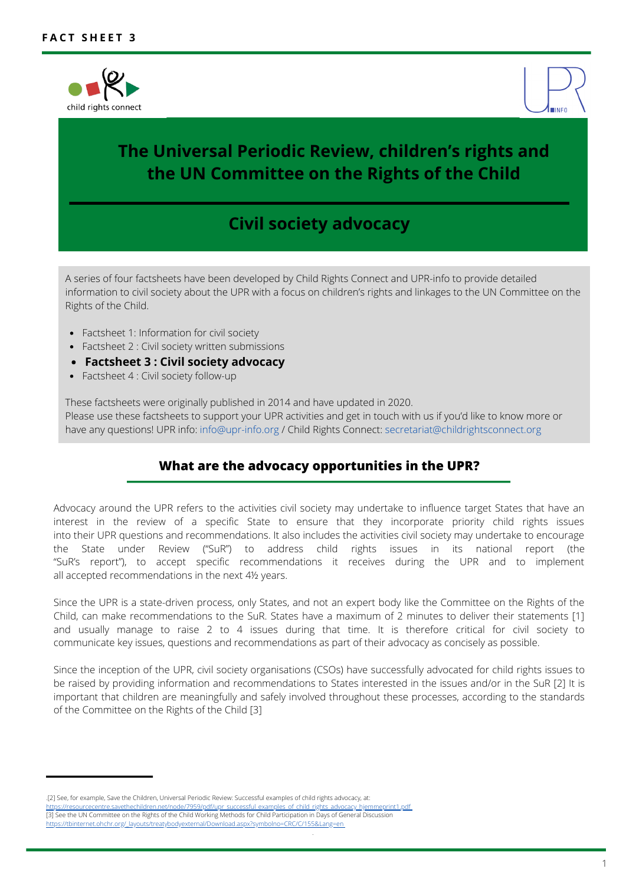



# **The Universal Periodic Review, children's rights and the UN Committee on the Rights of the Child**

# **Civil society advocacy**

A series of four factsheets have been developed by Child Rights Connect and UPR-info to provide detailed information to civil society about the UPR with a focus on children's rights and linkages to the UN Committee on the Rights of the Child.

- Factsheet 1: Information for civil society
- Factsheet 2 : Civil society written submissions
- **Factsheet 3 : Civil society advocacy**
- Factsheet 4 : Civil society follow-up

These factsheets were originally published in 2014 and have updated in 2020. Please use these factsheets to support your UPR activities and get in touch with us if you'd like to know more or have any questions! UPR info: info@upr-info.org / Child Rights Connect: secretariat@childrightsconnect.org

### **What are the advocacy opportunities in the UPR?**

Advocacy around the UPR refers to the activities civil society may undertake to influence target States that have an interest in the review of a specific State to ensure that they incorporate priority child rights issues into their UPR questions and recommendations. It also includes the activities civil society may undertake to encourage the State under Review ("SuR") to address child rights issues in its national report (the "SuR's report"), to accept specific recommendations it receives during the UPR and to implement all accepted recommendations in the next 4½ years.

Since the UPR is a state-driven process, only States, and not an expert body like the Committee on the Rights of the Child, can make recommendations to the SuR. States have a maximum of 2 minutes to deliver their statements [1] and usually manage to raise 2 to 4 issues during that time. It is therefore critical for civil society to communicate key issues, questions and recommendations as part of their advocacy as concisely as possible.

Since the inception of the UPR, civil society organisations (CSOs) have successfully advocated for child rights issues to be raised by providing information and recommendations to States interested in the issues and/or in the SuR [2] It is important that children are meaningfully and safely involved throughout these processes, according to the standards of the Committee on the Rights of the Child [3]

<sup>.[2]</sup> See, for example, Save the Children, Universal Periodic Review: Successful examples of child rights advocacy, at:

[https://resourcecentre.savethechildren.net/node/7959/pdf/upr\\_successful\\_examples\\_of\\_child\\_rights\\_advocacy\\_hjemmeprint1.pdf](https://resourcecentre.savethechildren.net/node/7959/pdf/upr_successful_examples_of_child_rights_advocacy_hjemmeprint1.pdf) [3] S[e](https://tbinternet.ohchr.org/_layouts/treatybodyexternal/Download.aspx?symbolno=CRC/C/155&Lang=en)e the UN Committee on the Rights of the Child Working Methods for Child Participation in Days of General Discussion [https://tbinternet.ohchr.org/\\_layouts/treatybodyexternal/Download.aspx?symbolno=CRC/C/155&Lang=en](https://tbinternet.ohchr.org/_layouts/treatybodyexternal/Download.aspx?symbolno=CRC/C/155&Lang=en)

<sup>.</sup>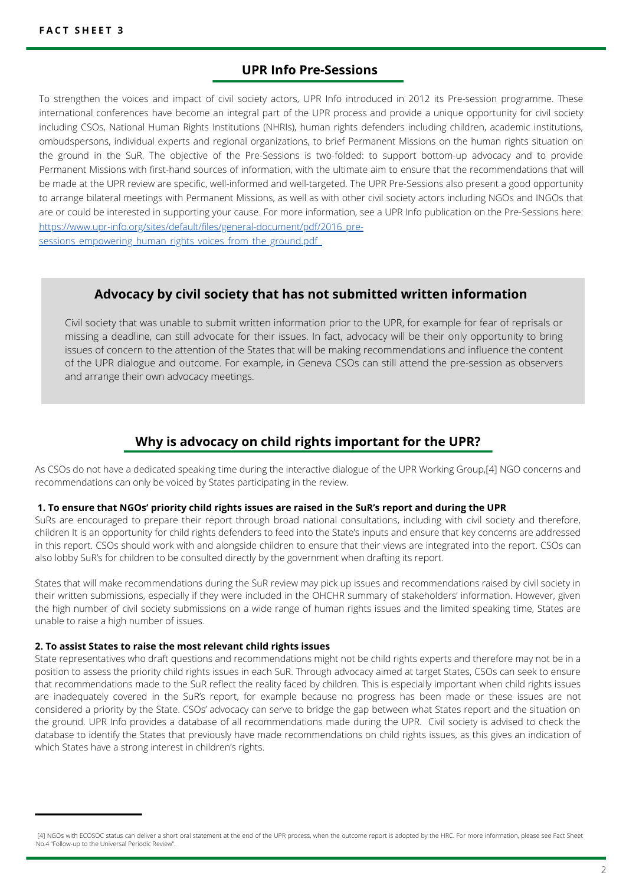### **UPR Info Pre-Sessions**

To strengthen the voices and impact of civil society actors, UPR Info introduced in 2012 its Pre-session programme. These international conferences have become an integral part of the UPR process and provide a unique opportunity for civil society including CSOs, National Human Rights Institutions (NHRIs), human rights defenders including children, academic institutions, ombudspersons, individual experts and regional organizations, to brief Permanent Missions on the human rights situation on the ground in the SuR. The objective of the Pre-Sessions is two-folded: to support bottom-up advocacy and to provide Permanent Missions with first-hand sources of information, with the ultimate aim to ensure that the recommendations that will be made at the UPR review are specific, well-informed and well-targeted. The UPR Pre-Sessions also present a good opportunity to arrange bilateral meetings with Permanent Missions, as well as with other civil society actors including NGOs and INGOs that are or could be interested in supporting your cause. For more information, see a UPR Info publication on the Pre-Sessions here: [https://www.upr-info.org/sites/default/files/general-document/pdf/2016\\_pre](https://www.upr-info.org/sites/default/files/general-document/pdf/2016_pre-sessions_empowering_human_rights_voices_from_the_ground.pdf)sessionsempowering human rights voices from the ground.pdf

### **Advocacy by civil society that has not submitted written information**

Civil society that was unable to submit written information prior to the UPR, for example for fear of reprisals or missing a deadline, can still advocate for their issues. In fact, advocacy will be their only opportunity to bring issues of concern to the attention of the States that will be making recommendations and influence the content of the UPR dialogue and outcome. For example, in Geneva CSOs can still attend the pre-session as observers and arrange their own advocacy meetings.

### **Why is advocacy on child rights important for the UPR?**

As CSOs do not have a dedicated speaking time during the interactive dialogue of the UPR Working Group,[4] NGO concerns and recommendations can only be voiced by States participating in the review.

#### **1. To ensure that NGOs' priority child rights issues are raised in the SuR's report and during the UPR**

SuRs are encouraged to prepare their report through broad national consultations, including with civil society and therefore, children It is an opportunity for child rights defenders to feed into the State's inputs and ensure that key concerns are addressed in this report. CSOs should work with and alongside children to ensure that their views are integrated into the report. CSOs can also lobby SuR's for children to be consulted directly by the government when drafting its report.

States that will make recommendations during the SuR review may pick up issues and recommendations raised by civil society in their written submissions, especially if they were included in the OHCHR summary of stakeholders' information. However, given the high number of civil society submissions on a wide range of human rights issues and the limited speaking time, States are unable to raise a high number of issues.

#### **2. To assist States to raise the most relevant child rights issues**

State representatives who draft questions and recommendations might not be child rights experts and therefore may not be in a position to assess the priority child rights issues in each SuR. Through advocacy aimed at target States, CSOs can seek to ensure that recommendations made to the SuR reflect the reality faced by children. This is especially important when child rights issues are inadequately covered in the SuR's report, for example because no progress has been made or these issues are not considered a priority by the State. CSOs' advocacy can serve to bridge the gap between what States report and the situation on the ground. UPR Info provides a database of all recommendations made during the UPR. Civil society is advised to check the database to identify the States that previously have made recommendations on child rights issues, as this gives an indication of which States have a strong interest in children's rights.

<sup>[4]</sup> NGOs with ECOSOC status can deliver a short oral statement at the end of the UPR process, when the outcome report is adopted by the HRC. For more information, please see Fact Sheet No.4 "Follow-up to the Universal Periodic Review".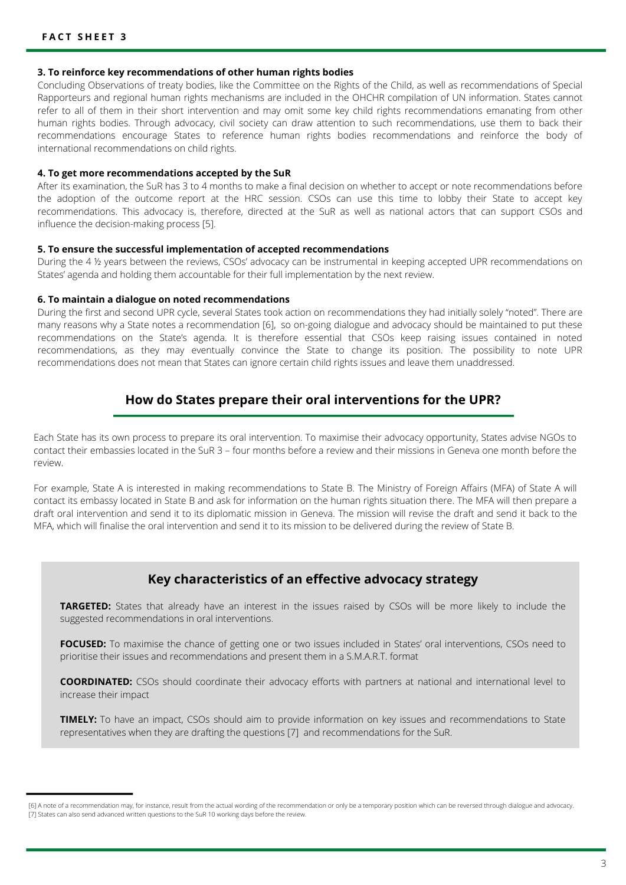#### **3. To reinforce key recommendations of other human rights bodies**

Concluding Observations of treaty bodies, like the Committee on the Rights of the Child, as well as recommendations of Special Rapporteurs and regional human rights mechanisms are included in the OHCHR compilation of UN information. States cannot refer to all of them in their short intervention and may omit some key child rights recommendations emanating from other human rights bodies. Through advocacy, civil society can draw attention to such recommendations, use them to back their recommendations encourage States to reference human rights bodies recommendations and reinforce the body of international recommendations on child rights.

#### **4. To get more recommendations accepted by the SuR**

After its examination, the SuR has 3 to 4 months to make a final decision on whether to accept or note recommendations before the adoption of the outcome report at the HRC session. CSOs can use this time to lobby their State to accept key recommendations. This advocacy is, therefore, directed at the SuR as well as national actors that can support CSOs and influence the decision-making process [5].

#### **5. To ensure the successful implementation of accepted recommendations**

During the 4 ½ years between the reviews, CSOs' advocacy can be instrumental in keeping accepted UPR recommendations on States' agenda and holding them accountable for their full implementation by the next review.

#### **6. To maintain a dialogue on noted recommendations**

During the first and second UPR cycle, several States took action on recommendations they had initially solely "noted". There are many reasons why a State notes a recommendation [6], so on-going dialogue and advocacy should be maintained to put these recommendations on the State's agenda. It is therefore essential that CSOs keep raising issues contained in noted recommendations, as they may eventually convince the State to change its position. The possibility to note UPR recommendations does not mean that States can ignore certain child rights issues and leave them unaddressed.

### **How do States prepare their oral interventions for the UPR?**

Each State has its own process to prepare its oral intervention. To maximise their advocacy opportunity, States advise NGOs to contact their embassies located in the SuR 3 – four months before a review and their missions in Geneva one month before the review.

For example, State A is interested in making recommendations to State B. The Ministry of Foreign Affairs (MFA) of State A will contact its embassy located in State B and ask for information on the human rights situation there. The MFA will then prepare a draft oral intervention and send it to its diplomatic mission in Geneva. The mission will revise the draft and send it back to the MFA, which will finalise the oral intervention and send it to its mission to be delivered during the review of State B.

### **Key characteristics of an effective advocacy strategy**

**TARGETED:** States that already have an interest in the issues raised by CSOs will be more likely to include the suggested recommendations in oral interventions.

**FOCUSED:** To maximise the chance of getting one or two issues included in States' oral interventions, CSOs need to prioritise their issues and recommendations and present them in a S.M.A.R.T. format

**COORDINATED:** CSOs should coordinate their advocacy efforts with partners at national and international level to increase their impact

**TIMELY:** To have an impact, CSOs should aim to provide information on key issues and recommendations to State representatives when they are drafting the questions [7] and recommendations for the SuR.

<sup>[6]</sup> A note of a recommendation may, for instance, result from the actual wording of the recommendation or only be a temporary position which can be reversed through dialogue and advocacy. [7] States can also send advanced written questions to the SuR 10 working days before the review.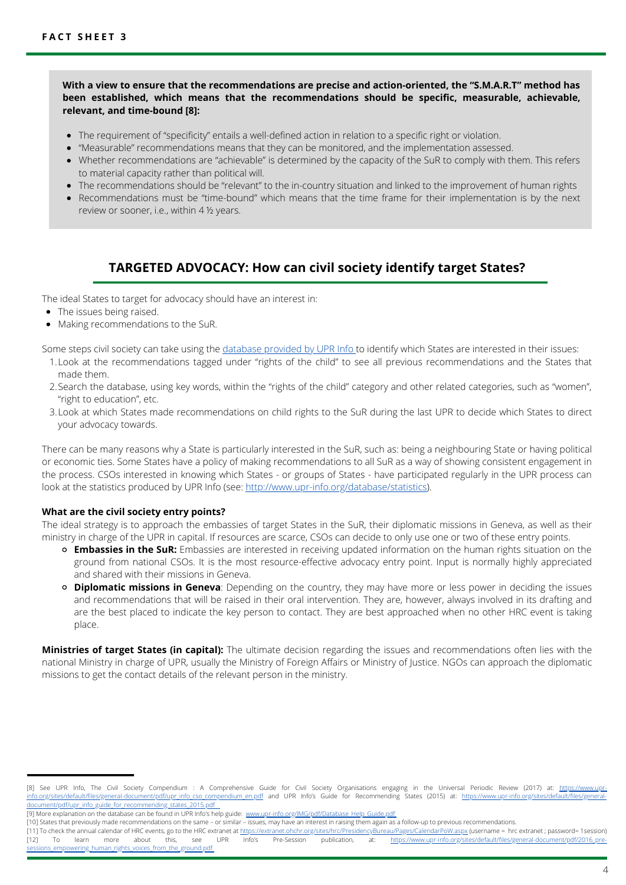**With a view to ensure that the recommendations are precise and action-oriented, the "S.M.A.R.T" method has been established, which means that the recommendations should be specific, measurable, achievable, relevant, and time-bound [8]:**

- The requirement of "specificity" entails a well-defined action in relation to a specific right or violation.
- "Measurable" recommendations means that they can be monitored, and the implementation assessed.
- Whether recommendations are "achievable" is determined by the capacity of the SuR to comply with them. This refers to material capacity rather than political will.
- The recommendations should be "relevant" to the in-country situation and linked to the improvement of human rights
- Recommendations must be "time-bound" which means that the time frame for their implementation is by the next review or sooner, i.e., within 4 ½ years.

### **TARGETED ADVOCACY: How can civil society identify target States?**

The ideal States to target for advocacy should have an interest in:

- The issues being raised.
- Making recommendations to the SuR.

Some steps civil society can take using the [database](http://www.upr-info.org/database) provided by UPR Info to identify which States are interested in their issues:

- Look at the recommendations tagged under "rights of the child" to see all previous recommendations and the States that 1. made them.
- 2.Search the database, using key words, within the "rights of the child" category and other related categories, such as "women", "right to education", etc.
- Look at which States made recommendations on child rights to the SuR during the last UPR to decide which States to direct 3. your advocacy towards.

There can be many reasons why a State is particularly interested in the SuR, such as: being a neighbouring State or having political or economic ties. Some States have a policy of making recommendations to all SuR as a way of showing consistent engagement in the process. CSOs interested in knowing which States - or groups of States - have participated regularly in the UPR process can look at the statistics produced by UPR Info (see: <http://www.upr-info.org/database/statistics>).

#### **What are the civil society entry points?**

The ideal strategy is to approach the embassies of target States in the SuR, their diplomatic missions in Geneva, as well as their ministry in charge of the UPR in capital. If resources are scarce, CSOs can decide to only use one or two of these entry points.

- **Embassies in the SuR:** Embassies are interested in receiving updated information on the human rights situation on the ground from national CSOs. It is the most resource-effective advocacy entry point. Input is normally highly appreciated and shared with their missions in Geneva.
- **Diplomatic missions in Geneva**: Depending on the country, they may have more or less power in deciding the issues and recommendations that will be raised in their oral intervention. They are, however, always involved in its drafting and are the best placed to indicate the key person to contact. They are best approached when no other HRC event is taking place.

**Ministries of target States (in capital):** The ultimate decision regarding the issues and recommendations often lies with the national Ministry in charge of UPR, usually the Ministry of Foreign Affairs or Ministry of Justice. NGOs can approach the diplomatic missions to get the contact details of the relevant person in the ministry.

[<sup>\[8\]</sup> See UPR Info, The Civil Society Compendium : A Comprehensive Guide for Civil Society Organisations engaging in the Universal Periodic Review \(2017\) at: https://www.upr](https://www.upr-info.org/sites/default/files/general-document/pdf/upr_info_cso_compendium_en.pdf)info.org/sites/default/files/general-document/pdf/upr\_info\_cso\_compendium\_en.pdf and UPR Info's Guide for Recommending States (2015) at: https://www.upr-info.org/sites/default/files/general-document/pdf/upr\_info.org/sites/ ent/pdf/upr\_info\_guide\_for\_recommending\_states\_2015.pdf

<sup>[9]</sup> More explanation on the database can be found in UPR Info's help guide: www.upr-info.org/IMG/pdf/Datab

<sup>[10]</sup> States that previously made recommendations on the same – or similar – issues, may have an interest in raising them again as a follow-up to previous recommendations.

<sup>[11]</sup> To check the annual calendar of HRC events, go to the HRC extranet at <u><https://extranet.ohchr.org/sites/hrc/PresidencyBureau/Pages/CalendarPoW.aspx> (username = hrc extranet ; password= 1session)<br>[12] To learn more</u> [\[12\] To learn more about this, see UPR Info's Pre-Session publication, at: https://www.upr-info.org/sites/default/files/general-document/pdf/2016\\_pre](https://www.upr-info.org/sites/default/files/general-document/pdf/2016_pre-sessions_empowering_human_rights_voices_from_the_ground.pdf)vering\_human\_rights\_voices\_from\_the\_ground.pdf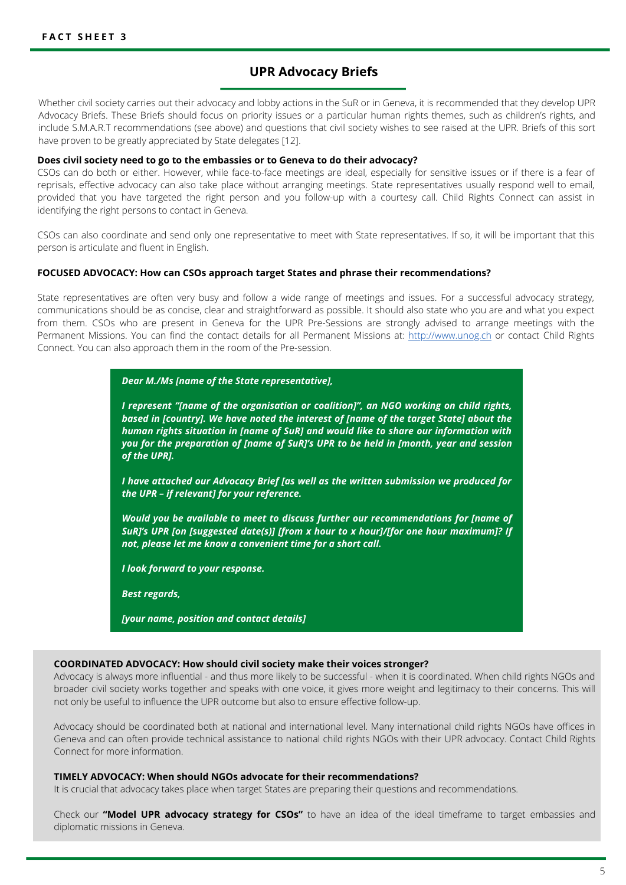### **UPR Advocacy Briefs**

Whether civil society carries out their advocacy and lobby actions in the SuR or in Geneva, it is recommended that they develop UPR Advocacy Briefs. These Briefs should focus on priority issues or a particular human rights themes, such as children's rights, and include S.M.A.R.T recommendations (see above) and questions that civil society wishes to see raised at the UPR. Briefs of this sort have proven to be greatly appreciated by State delegates [12].

#### **Does civil society need to go to the embassies or to Geneva to do their advocacy?**

CSOs can do both or either. However, while face-to-face meetings are ideal, especially for sensitive issues or if there is a fear of reprisals, effective advocacy can also take place without arranging meetings. State representatives usually respond well to email, provided that you have targeted the right person and you follow-up with a courtesy call. Child Rights Connect can assist in identifying the right persons to contact in Geneva.

CSOs can also coordinate and send only one representative to meet with State representatives. If so, it will be important that this person is articulate and fluent in English.

#### **FOCUSED ADVOCACY: How can CSOs approach target States and phrase their recommendations?**

State representatives are often very busy and follow a wide range of meetings and issues. For a successful advocacy strategy, communications should be as concise, clear and straightforward as possible. It should also state who you are and what you expect from them. CSOs who are present in Geneva for the UPR Pre-Sessions are strongly advised to arrange meetings with the Permanent Missions. You can find the contact details for all Permanent Missions at: [http://www.unog.ch](http://www.unog.ch/) or contact Child Rights Connect. You can also approach them in the room of the Pre-session.

#### *Dear M./Ms [name of the State representative],*

*I represent "[name of the organisation or coalition]", an NGO working on child rights, based in [country]. We have noted the interest of [name of the target State] about the human rights situation in [name of SuR] and would like to share our information with you for the preparation of [name of SuR]'s UPR to be held in [month, year and session of the UPR].*

*I have attached our Advocacy Brief [as well as the written submission we produced for the UPR – if relevant] for your reference.*

*Would you be available to meet to discuss further our recommendations for [name of SuR]'s UPR [on [suggested date(s)] [from x hour to x hour]/[for one hour maximum]? If not, please let me know a convenient time for a short call.*

*I look forward to your response.*

*Best regards,*

*[your name, position and contact details]*

#### **COORDINATED ADVOCACY: How should civil society make their voices stronger?**

Advocacy is always more influential - and thus more likely to be successful - when it is coordinated. When child rights NGOs and broader civil society works together and speaks with one voice, it gives more weight and legitimacy to their concerns. This will not only be useful to influence the UPR outcome but also to ensure effective follow-up.

Advocacy should be coordinated both at national and international level. Many international child rights NGOs have offices in Geneva and can often provide technical assistance to national child rights NGOs with their UPR advocacy. Contact Child Rights Connect for more information.

#### **TIMELY ADVOCACY: When should NGOs advocate for their recommendations?**

It is crucial that advocacy takes place when target States are preparing their questions and recommendations.

Check our **"Model UPR advocacy strategy for CSOs"** to have an idea of the ideal timeframe to target embassies and diplomatic missions in Geneva.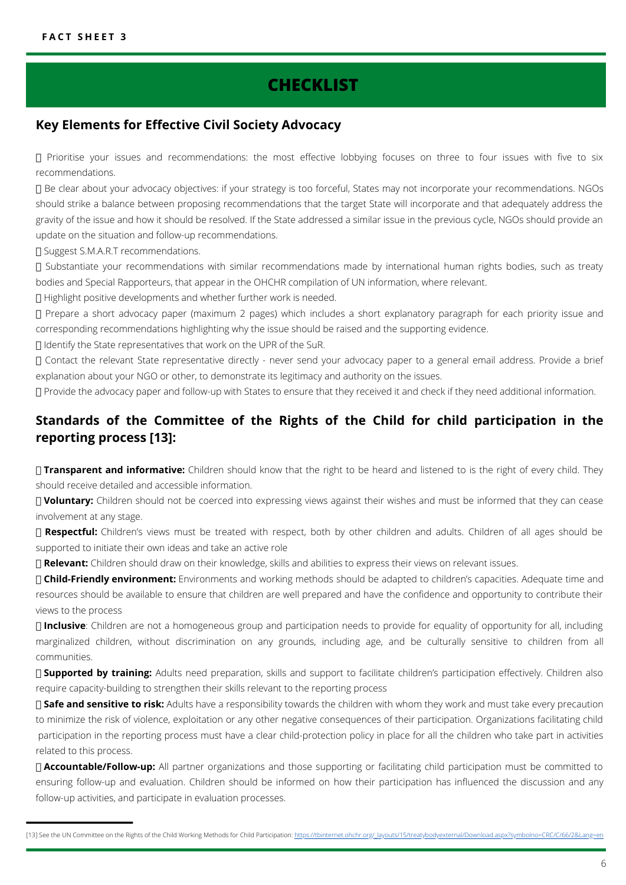# **CHECKLIST**

### **Key Elements for Effective Civil Society Advocacy**

 Prioritise your issues and recommendations: the most effective lobbying focuses on three to four issues with five to six recommendations.

 Be clear about your advocacy objectives: if your strategy is too forceful, States may not incorporate your recommendations. NGOs should strike a balance between proposing recommendations that the target State will incorporate and that adequately address the gravity of the issue and how it should be resolved. If the State addressed a similar issue in the previous cycle, NGOs should provide an update on the situation and follow-up recommendations.

□ Suggest S.M.A.R.T recommendations.

 Substantiate your recommendations with similar recommendations made by international human rights bodies, such as treaty bodies and Special Rapporteurs, that appear in the OHCHR compilation of UN information, where relevant.

Highlight positive developments and whether further work is needed.

 Prepare a short advocacy paper (maximum 2 pages) which includes a short explanatory paragraph for each priority issue and corresponding recommendations highlighting why the issue should be raised and the supporting evidence.

Identify the State representatives that work on the UPR of the SuR.

 Contact the relevant State representative directly - never send your advocacy paper to a general email address. Provide a brief explanation about your NGO or other, to demonstrate its legitimacy and authority on the issues.

Provide the advocacy paper and follow-up with States to ensure that they received it and check if they need additional information.

### **Standards of the Committee of the Rights of the Child for child participation in the reporting process [13]:**

 **Transparent and informative:** Children should know that the right to be heard and listened to is the right of every child. They should receive detailed and accessible information.

 **Voluntary:** Children should not be coerced into expressing views against their wishes and must be informed that they can cease involvement at any stage.

□ Respectful: Children's views must be treated with respect, both by other children and adults. Children of all ages should be supported to initiate their own ideas and take an active role

**Relevant:** Children should draw on their knowledge, skills and abilities to express their views on relevant issues.

 **Child-Friendly environment:** Environments and working methods should be adapted to children's capacities. Adequate time and resources should be available to ensure that children are well prepared and have the confidence and opportunity to contribute their views to the process

 **Inclusive**: Children are not a homogeneous group and participation needs to provide for equality of opportunity for all, including marginalized children, without discrimination on any grounds, including age, and be culturally sensitive to children from all communities.

 **Supported by training:** Adults need preparation, skills and support to facilitate children's participation effectively. Children also require capacity-building to strengthen their skills relevant to the reporting process

 **Safe and sensitive to risk:** Adults have a responsibility towards the children with whom they work and must take every precaution to minimize the risk of violence, exploitation or any other negative consequences of their participation. Organizations facilitating child participation in the reporting process must have a clear child-protection policy in place for all the children who take part in activities related to this process.

 **Accountable/Follow-up:** All partner organizations and those supporting or facilitating child participation must be committed to ensuring follow-up and evaluation. Children should be informed on how their participation has influenced the discussion and any follow-up activities, and participate in evaluation processes.

<sup>[13]</sup> See the UN Committee on the Rights of the Child Working Methods for Child Participation: https://tbinternet.ohchr.org/\_layouts/15/treatybodyexternal/Download.aspx?symbolno=CRC/C/66/2&Lang=e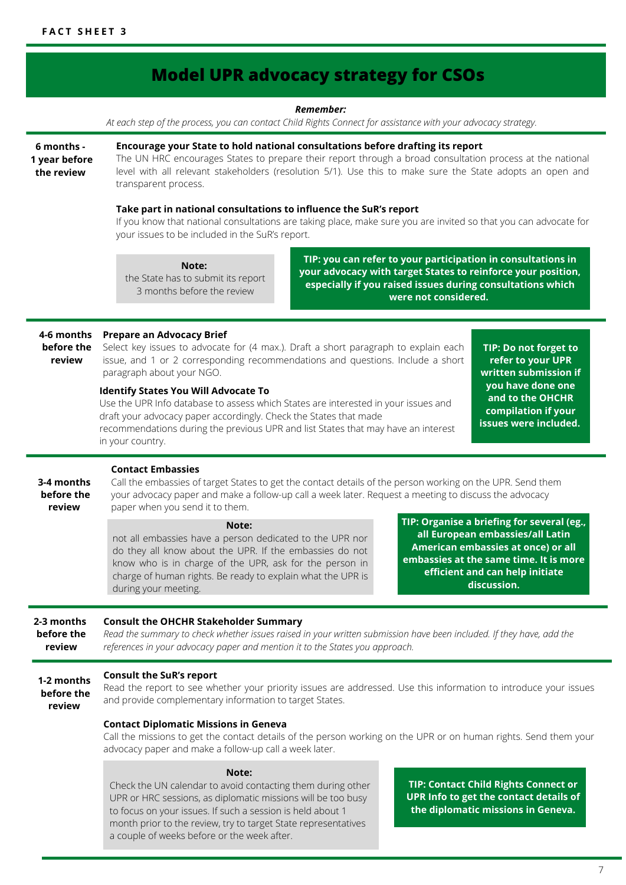#### **Model UPR advocacy strategy for CSOs Consult the SuR's report** Read the report to see whether your priority issues are addressed. Use this information to introduce your issues and provide complementary information to target States. **Contact Diplomatic Missions in Geneva** Call the missions to get the contact details of the person working on the UPR or on human rights. Send them your advocacy paper and make a follow-up call a week later. *Remember:* At each step of the process, you can contact Child Rights Connect for assistance with your advocacy strategy. **6 months - 1 year before the review 4-6 months before the review 3-4 months before the review 1-2 months before the review 2-3 months before the review Encourage your State to hold national consultations before drafting its report** The UN HRC encourages States to prepare their report through a broad consultation process at the national level with all relevant stakeholders (resolution 5/1). Use this to make sure the State adopts an open and transparent process. **Take part in national consultations to influence the SuR's report** If you know that national consultations are taking place, make sure you are invited so that you can advocate for your issues to be included in the SuR's report. **Note:** the State has to submit its report 3 months before the review **TIP: you can refer to your participation in consultations in your advocacy with target States to reinforce your position, especially if you raised issues during consultations which were not considered. Prepare an Advocacy Brief** Select key issues to advocate for (4 max.). Draft a short paragraph to explain each issue, and 1 or 2 corresponding recommendations and questions. Include a short paragraph about your NGO. **TIP: Do not forget to refer to your UPR written submission if you have done one and to the OHCHR compilation if your issues were included. Identify States You Will Advocate To** Use the UPR Info database to assess which States are interested in your issues and draft your advocacy paper accordingly. Check the States that made recommendations during the previous UPR and list States that may have an interest in your country. **Contact Embassies** Call the embassies of target States to get the contact details of the person working on the UPR. Send them your advocacy paper and make a follow-up call a week later. Request a meeting to discuss the advocacy paper when you send it to them. **Note:** not all embassies have a person dedicated to the UPR nor do they all know about the UPR. If the embassies do not know who is in charge of the UPR, ask for the person in charge of human rights. Be ready to explain what the UPR is during your meeting. **TIP: Organise a briefing for several (eg., all European embassies/all Latin American embassies at once) or all embassies at the same time. It is more efficient and can help initiate discussion. Consult the OHCHR Stakeholder Summary** *Read the summary to check whether issues raised in your written submission have been included. If they have, add the references in your advocacy paper and mention it to the States you approach.* **Note:** Check the UN calendar to avoid contacting them during other UPR or HRC sessions, as diplomatic missions will be too busy to focus on your issues. If such a session is held about 1 month prior to the review, try to target State representatives a couple of weeks before or the week after. **TIP: Contact Child Rights Connect or UPR Info to get the contact details of the diplomatic missions in Geneva.**